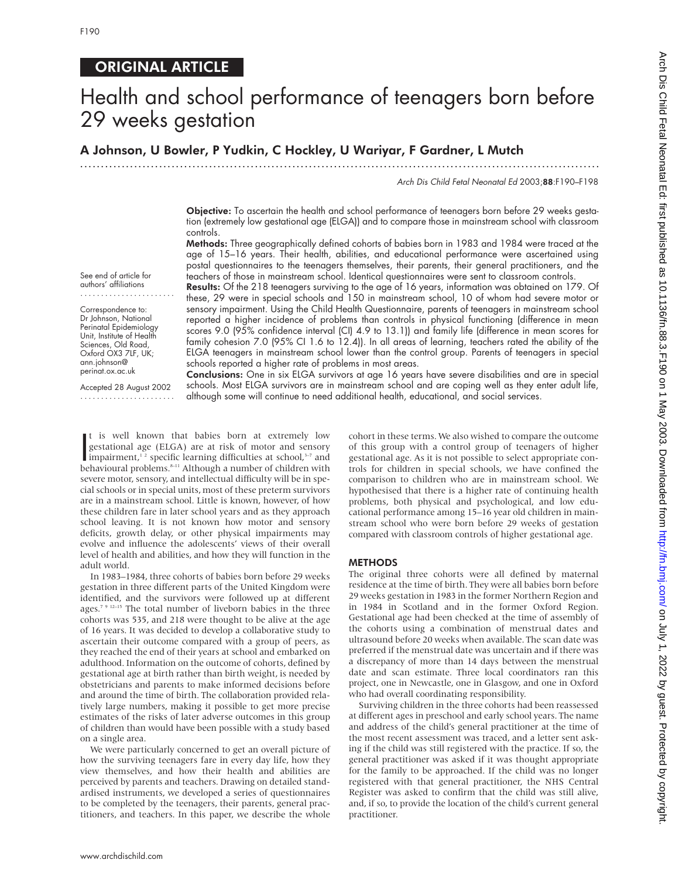# ORIGINAL ARTICLE

# Health and school performance of teenagers born before 29 weeks gestation

.............................................................................................................................

# A Johnson, U Bowler, P Yudkin, C Hockley, U Wariyar, F Gardner, L Mutch

Arch Dis Child Fetal Neonatal Ed 2003;88:F190–F198

Objective: To ascertain the health and school performance of teenagers born before 29 weeks gestation (extremely low gestational age (ELGA)) and to compare those in mainstream school with classroom controls.

Methods: Three geographically defined cohorts of babies born in 1983 and 1984 were traced at the age of 15–16 years. Their health, abilities, and educational performance were ascertained using postal questionnaires to the teenagers themselves, their parents, their general practitioners, and the teachers of those in mainstream school. Identical questionnaires were sent to classroom controls. Results: Of the 218 teenagers surviving to the age of 16 years, information was obtained on 179. Of

these, 29 were in special schools and 150 in mainstream school, 10 of whom had severe motor or sensory impairment. Using the Child Health Questionnaire, parents of teenagers in mainstream school reported a higher incidence of problems than controls in physical functioning (difference in mean scores 9.0 (95% confidence interval (CI) 4.9 to 13.1)) and family life (difference in mean scores for family cohesion 7.0 (95% CI 1.6 to 12.4)). In all areas of learning, teachers rated the ability of the ELGA teenagers in mainstream school lower than the control group. Parents of teenagers in special

See end of article for authors' affiliations .......................

Correspondence to: Dr Johnson, National Perinatal Epidemiology Unit, Institute of Health Sciences, Old Road, Oxford OX3 7LF, UK; ann.johnson@ perinat.ox.ac.uk

Accepted 28 August 2002 ....................... schools reported a higher rate of problems in most areas. Conclusions: One in six ELGA survivors at age 16 years have severe disabilities and are in special schools. Most ELGA survivors are in mainstream school and are coping well as they enter adult life, although some will continue to need additional health, educational, and social services.

I is well known that babies born at extremely low<br>gestational age (ELGA) are at risk of motor and sensory<br>impairment,<sup>1,2</sup> specific learning difficulties at school,<sup>3–7</sup> and<br>behavioural problems.<sup>8–11</sup> Although a number o t is well known that babies born at extremely low gestational age (ELGA) are at risk of motor and sensory behavioural problems.<sup>8-11</sup> Although a number of children with severe motor, sensory, and intellectual difficulty will be in special schools or in special units, most of these preterm survivors are in a mainstream school. Little is known, however, of how these children fare in later school years and as they approach school leaving. It is not known how motor and sensory deficits, growth delay, or other physical impairments may evolve and influence the adolescents' views of their overall level of health and abilities, and how they will function in the adult world.

In 1983–1984, three cohorts of babies born before 29 weeks gestation in three different parts of the United Kingdom were identified, and the survivors were followed up at different ages.7 9 12–15 The total number of liveborn babies in the three cohorts was 535, and 218 were thought to be alive at the age of 16 years. It was decided to develop a collaborative study to ascertain their outcome compared with a group of peers, as they reached the end of their years at school and embarked on adulthood. Information on the outcome of cohorts, defined by gestational age at birth rather than birth weight, is needed by obstetricians and parents to make informed decisions before and around the time of birth. The collaboration provided relatively large numbers, making it possible to get more precise estimates of the risks of later adverse outcomes in this group of children than would have been possible with a study based on a single area.

We were particularly concerned to get an overall picture of how the surviving teenagers fare in every day life, how they view themselves, and how their health and abilities are perceived by parents and teachers. Drawing on detailed standardised instruments, we developed a series of questionnaires to be completed by the teenagers, their parents, general practitioners, and teachers. In this paper, we describe the whole

cohort in these terms. We also wished to compare the outcome of this group with a control group of teenagers of higher gestational age. As it is not possible to select appropriate controls for children in special schools, we have confined the comparison to children who are in mainstream school. We hypothesised that there is a higher rate of continuing health problems, both physical and psychological, and low educational performance among 15–16 year old children in mainstream school who were born before 29 weeks of gestation compared with classroom controls of higher gestational age.

#### METHODS

The original three cohorts were all defined by maternal residence at the time of birth. They were all babies born before 29 weeks gestation in 1983 in the former Northern Region and in 1984 in Scotland and in the former Oxford Region. Gestational age had been checked at the time of assembly of the cohorts using a combination of menstrual dates and ultrasound before 20 weeks when available. The scan date was preferred if the menstrual date was uncertain and if there was a discrepancy of more than 14 days between the menstrual date and scan estimate. Three local coordinators ran this project, one in Newcastle, one in Glasgow, and one in Oxford who had overall coordinating responsibility.

Surviving children in the three cohorts had been reassessed at different ages in preschool and early school years. The name and address of the child's general practitioner at the time of the most recent assessment was traced, and a letter sent asking if the child was still registered with the practice. If so, the general practitioner was asked if it was thought appropriate for the family to be approached. If the child was no longer registered with that general practitioner, the NHS Central Register was asked to confirm that the child was still alive, and, if so, to provide the location of the child's current general practitioner.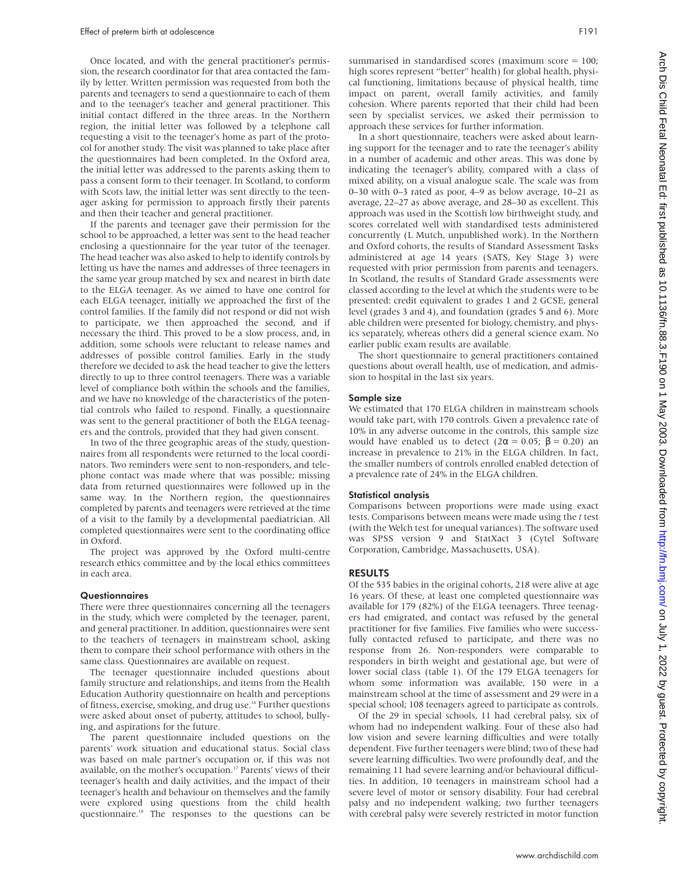Once located, and with the general practitioner's permission, the research coordinator for that area contacted the family by letter. Written permission was requested from both the parents and teenagers to send a questionnaire to each of them and to the teenager's teacher and general practitioner. This initial contact differed in the three areas. In the Northern region, the initial letter was followed by a telephone call requesting a visit to the teenager's home as part of the protocol for another study. The visit was planned to take place after the questionnaires had been completed. In the Oxford area, the initial letter was addressed to the parents asking them to pass a consent form to their teenager. In Scotland, to conform with Scots law, the initial letter was sent directly to the teenager asking for permission to approach firstly their parents and then their teacher and general practitioner.

If the parents and teenager gave their permission for the school to be approached, a letter was sent to the head teacher enclosing a questionnaire for the year tutor of the teenager. The head teacher was also asked to help to identify controls by letting us have the names and addresses of three teenagers in the same year group matched by sex and nearest in birth date to the ELGA teenager. As we aimed to have one control for each ELGA teenager, initially we approached the first of the control families. If the family did not respond or did not wish to participate, we then approached the second, and if necessary the third. This proved to be a slow process, and, in addition, some schools were reluctant to release names and addresses of possible control families. Early in the study therefore we decided to ask the head teacher to give the letters directly to up to three control teenagers. There was a variable level of compliance both within the schools and the families, and we have no knowledge of the characteristics of the potential controls who failed to respond. Finally, a questionnaire was sent to the general practitioner of both the ELGA teenagers and the controls, provided that they had given consent.

In two of the three geographic areas of the study, questionnaires from all respondents were returned to the local coordinators. Two reminders were sent to non-responders, and telephone contact was made where that was possible; missing data from returned questionnaires were followed up in the same way. In the Northern region, the questionnaires completed by parents and teenagers were retrieved at the time of a visit to the family by a developmental paediatrician. All completed questionnaires were sent to the coordinating office in Oxford.

The project was approved by the Oxford multi-centre research ethics committee and by the local ethics committees in each area.

#### **Questionnaires**

There were three questionnaires concerning all the teenagers in the study, which were completed by the teenager, parent, and general practitioner. In addition, questionnaires were sent to the teachers of teenagers in mainstream school, asking them to compare their school performance with others in the same class*.* Questionnaires are available on request.

The teenager questionnaire included questions about family structure and relationships, and items from the Health Education Authority questionnaire on health and perceptions of fitness, exercise, smoking, and drug use.<sup>16</sup> Further questions were asked about onset of puberty, attitudes to school, bullying, and aspirations for the future.

The parent questionnaire included questions on the parents' work situation and educational status. Social class was based on male partner's occupation or, if this was not available, on the mother's occupation.<sup>17</sup> Parents' views of their teenager's health and daily activities, and the impact of their teenager's health and behaviour on themselves and the family were explored using questions from the child health questionnaire.<sup>18</sup> The responses to the questions can be

summarised in standardised scores (maximum score = 100; high scores represent "better" health) for global health, physical functioning, limitations because of physical health, time impact on parent, overall family activities, and family cohesion. Where parents reported that their child had been seen by specialist services, we asked their permission to approach these services for further information.

In a short questionnaire, teachers were asked about learning support for the teenager and to rate the teenager's ability in a number of academic and other areas. This was done by indicating the teenager's ability, compared with a class of mixed ability, on a visual analogue scale. The scale was from 0–30 with 0–3 rated as poor, 4–9 as below average, 10–21 as average, 22–27 as above average, and 28–30 as excellent. This approach was used in the Scottish low birthweight study, and scores correlated well with standardised tests administered concurrently (L Mutch, unpublished work). In the Northern and Oxford cohorts, the results of Standard Assessment Tasks administered at age 14 years (SATS, Key Stage 3) were requested with prior permission from parents and teenagers. In Scotland, the results of Standard Grade assessments were classed according to the level at which the students were to be presented: credit equivalent to grades 1 and 2 GCSE, general level (grades 3 and 4), and foundation (grades 5 and 6). More able children were presented for biology, chemistry, and physics separately, whereas others did a general science exam. No earlier public exam results are available.

The short questionnaire to general practitioners contained questions about overall health, use of medication, and admission to hospital in the last six years.

#### Sample size

We estimated that 170 ELGA children in mainstream schools would take part, with 170 controls. Given a prevalence rate of 10% in any adverse outcome in the controls, this sample size would have enabled us to detect ( $2\alpha = 0.05$ ;  $\beta = 0.20$ ) an increase in prevalence to 21% in the ELGA children. In fact, the smaller numbers of controls enrolled enabled detection of a prevalence rate of 24% in the ELGA children.

#### Statistical analysis

Comparisons between proportions were made using exact tests. Comparisons between means were made using the *t* test (with the Welch test for unequal variances). The software used was SPSS version 9 and StatXact 3 (Cytel Software Corporation, Cambridge, Massachusetts, USA).

#### RESULTS

Of the 535 babies in the original cohorts, 218 were alive at age 16 years. Of these, at least one completed questionnaire was available for 179 (82%) of the ELGA teenagers. Three teenagers had emigrated, and contact was refused by the general practitioner for five families. Five families who were successfully contacted refused to participate, and there was no response from 26. Non-responders were comparable to responders in birth weight and gestational age, but were of lower social class (table 1). Of the 179 ELGA teenagers for whom some information was available, 150 were in a mainstream school at the time of assessment and 29 were in a special school; 108 teenagers agreed to participate as controls.

Of the 29 in special schools, 11 had cerebral palsy, six of whom had no independent walking. Four of these also had low vision and severe learning difficulties and were totally dependent. Five further teenagers were blind; two of these had severe learning difficulties. Two were profoundly deaf, and the remaining 11 had severe learning and/or behavioural difficulties. In addition, 10 teenagers in mainstream school had a severe level of motor or sensory disability. Four had cerebral palsy and no independent walking; two further teenagers with cerebral palsy were severely restricted in motor function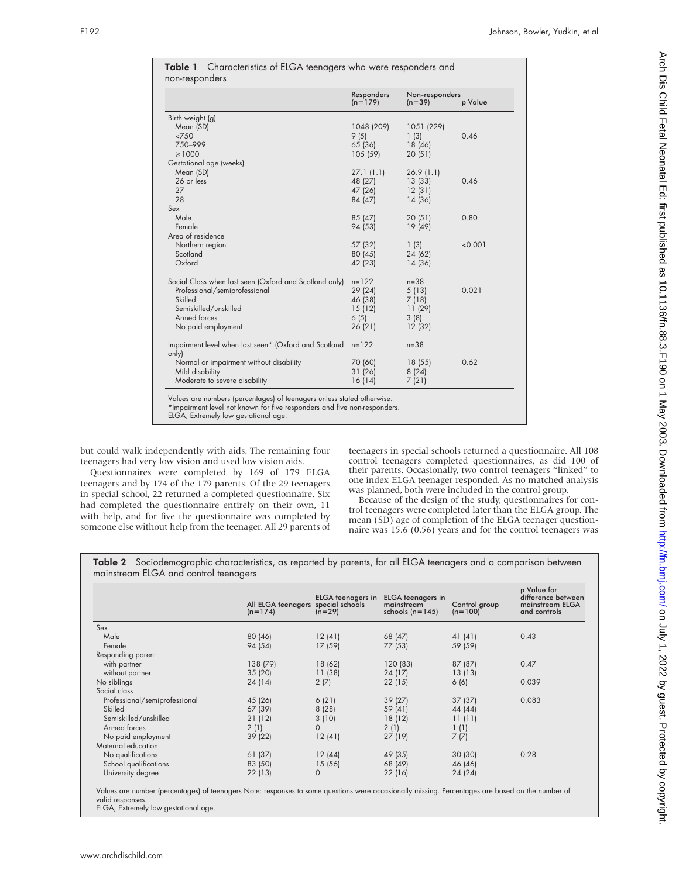|                                                        | Responders<br>$(n=179)$ | Non-responders<br>$(n=39)$ | p Value |
|--------------------------------------------------------|-------------------------|----------------------------|---------|
| Birth weight (g)                                       |                         |                            |         |
| Mean (SD)                                              | 1048 (209)              | 1051 (229)                 |         |
| <750                                                   | 9(5)                    | 1(3)                       | 0.46    |
| 750-999                                                | 65 (36)                 | 18 (46)                    |         |
| $\geq 1000$                                            | 105(59)                 | 20(51)                     |         |
| Gestational age (weeks)                                |                         |                            |         |
| Mean (SD)                                              | 27.1(1.1)               | 26.9(1.1)                  |         |
| 26 or less                                             | 48 (27)                 | 13(33)                     | 0.46    |
| 27                                                     | 47 (26)                 | 12(31)                     |         |
| 28                                                     | 84 (47)                 | 14 (36)                    |         |
| Sex                                                    |                         |                            |         |
| Male                                                   | 85 (47)                 | 20(51)                     | 0.80    |
| Female                                                 | 94 (53)                 | 19 (49)                    |         |
| Area of residence                                      |                         |                            |         |
| Northern region                                        | 57 (32)                 | 1(3)                       | < 0.001 |
| Scotland                                               | 80 (45)                 | 24 (62)                    |         |
| Oxford                                                 | 42 (23)                 | 14 (36)                    |         |
| Social Class when last seen (Oxford and Scotland only) | $n = 122$               | $n = 38$                   |         |
| Professional/semiprofessional                          | 29 (24)                 | 5(13)                      | 0.021   |
| Skilled                                                | 46 (38)                 | 7(18)                      |         |
| Semiskilled/unskilled                                  | 15(12)                  | 11(29)                     |         |
| Armed forces                                           | 6(5)                    | 3(8)                       |         |
| No paid employment                                     | 26 (21)                 | 12(32)                     |         |
| Impairment level when last seen* (Oxford and Scotland  | $n = 122$               | $n = 38$                   |         |
| only)                                                  |                         |                            |         |
| Normal or impairment without disability                | 70 (60)                 | 18(55)                     | 0.62    |
| Mild disability                                        | 31(26)                  | 8(24)                      |         |
| Moderate to severe disability                          | 16(14)                  | 7(21)                      |         |

Table 1 Characteristics of ELGA teenagers who were responders and

but could walk independently with aids. The remaining four teenagers had very low vision and used low vision aids.

Questionnaires were completed by 169 of 179 ELGA teenagers and by 174 of the 179 parents. Of the 29 teenagers in special school, 22 returned a completed questionnaire. Six had completed the questionnaire entirely on their own, 11 with help, and for five the questionnaire was completed by someone else without help from the teenager. All 29 parents of

teenagers in special schools returned a questionnaire. All 108 control teenagers completed questionnaires, as did 100 of their parents. Occasionally, two control teenagers "linked" to one index ELGA teenager responded. As no matched analysis was planned, both were included in the control group.

Because of the design of the study, questionnaires for control teenagers were completed later than the ELGA group. The mean (SD) age of completion of the ELGA teenager questionnaire was 15.6 (0.56) years and for the control teenagers was

Table 2 Sociodemographic characteristics, as reported by parents, for all ELGA teenagers and a comparison between mainstream ELGA and control teenagers

|                               | All ELGA teenagers special schools<br>$(n=174)$ | ELGA teenagers in<br>$(n=29)$ | <b>ELGA</b> teenagers in<br>mainstream<br>schools $(n=145)$ | Control group<br>$(n=100)$ | p Value for<br>difference between<br>mainstream ELGA<br>and controls |
|-------------------------------|-------------------------------------------------|-------------------------------|-------------------------------------------------------------|----------------------------|----------------------------------------------------------------------|
| Sex                           |                                                 |                               |                                                             |                            |                                                                      |
| Male                          | 80 (46)                                         | 12(41)                        | 68 (47)                                                     | 41 (41)                    | 0.43                                                                 |
| Female                        | 94 (54)                                         | 17 (59)                       | 77 (53)                                                     | 59 (59)                    |                                                                      |
| Responding parent             |                                                 |                               |                                                             |                            |                                                                      |
| with partner                  | 138 (79)                                        | 18 (62)                       | 120 (83)                                                    | 87 (87)                    | 0.47                                                                 |
| without partner               | 35(20)                                          | 11(38)                        | 24 (17)                                                     | 13(13)                     |                                                                      |
| No siblings                   | 24 (14)                                         | 2(7)                          | 22(15)                                                      | 6(6)                       | 0.039                                                                |
| Social class                  |                                                 |                               |                                                             |                            |                                                                      |
| Professional/semiprofessional | 45 (26)                                         | 6(21)                         | 39(27)                                                      | 37(37)                     | 0.083                                                                |
| Skilled                       | 67 (39)                                         | 8(28)                         | 59 (41)                                                     | 44 (44)                    |                                                                      |
| Semiskilled/unskilled         | 21 (12)                                         | 3(10)                         | 18(12)                                                      | 11(11)                     |                                                                      |
| Armed forces                  | 2(1)                                            | $\Omega$                      | 2(1)                                                        | 1(1)                       |                                                                      |
| No paid employment            | 39 (22)                                         | 12(41)                        | 27(19)                                                      | 7(7)                       |                                                                      |
| Maternal education            |                                                 |                               |                                                             |                            |                                                                      |
| No qualifications             | 61 (37)                                         | 12(44)                        | 49 (35)                                                     | 30(30)                     | 0.28                                                                 |
| School qualifications         | 83 (50)                                         | 15(56)                        | 68 (49)                                                     | 46 (46)                    |                                                                      |
| University degree             | 22(13)                                          | $\mathbf{O}$                  | 22 (16)                                                     | 24 (24)                    |                                                                      |

Values are number (percentages) of teenagers Note: responses to some questions were occasionally missing. Percentages are based on the number of valid responses.

ELGA, Extremely low gestational age.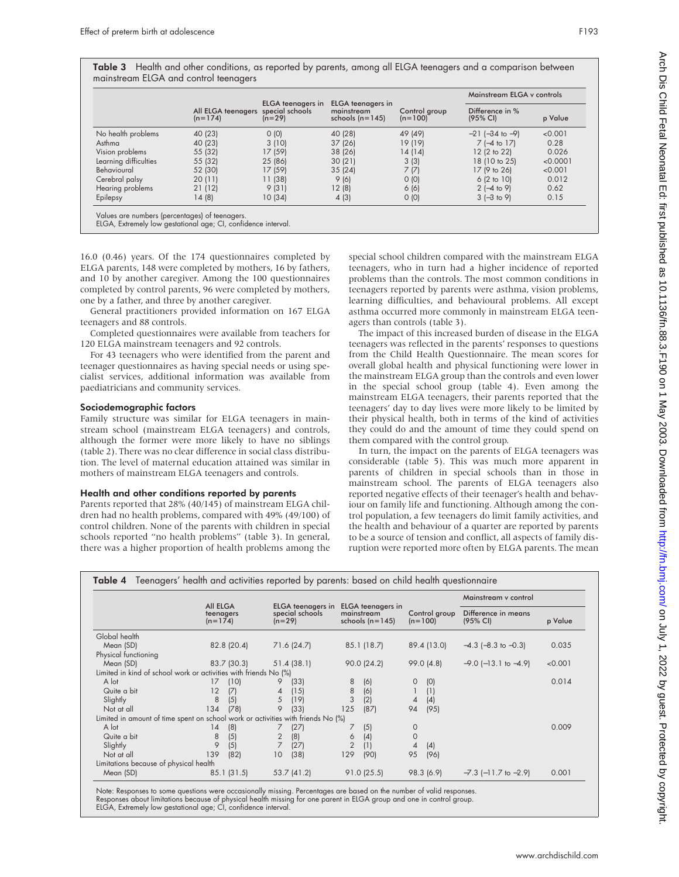| <b>Table 3</b> Health and other conditions, as reported by parents, among all ELGA teenagers and a comparison between |  |                            |  |
|-----------------------------------------------------------------------------------------------------------------------|--|----------------------------|--|
| mainstream ELGA and control teenagers                                                                                 |  |                            |  |
|                                                                                                                       |  | Mainstream ELGA y controls |  |

|                       |                                                 |                                      |                                                      |                            | Mainstream ELGA y controls  |          |  |
|-----------------------|-------------------------------------------------|--------------------------------------|------------------------------------------------------|----------------------------|-----------------------------|----------|--|
|                       | All ELGA teenagers special schools<br>$(n=174)$ | <b>ELGA</b> teenagers in<br>$(n=29)$ | ELGA teenagers in<br>mainstream<br>schools $(n=145)$ | Control group<br>$(n=100)$ | Difference in %<br>(95% CI) | p Value  |  |
| No health problems    | 40 (23)                                         | 0(0)                                 | 40 (28)                                              | 49 (49)                    | $-21$ ( $-34$ to $-9$ )     | < 0.001  |  |
| Asthma                | 40 (23)                                         | 3(10)                                | 37(26)                                               | 19 (19)                    | $7$ (-4 to 17)              | 0.28     |  |
| Vision problems       | 55 (32)                                         | 17 (59)                              | 38 (26)                                              | 14 (14)                    | 12 (2 to 22)                | 0.026    |  |
| Learning difficulties | 55 (32)                                         | 25 (86)                              | 30(21)                                               | 3(3)                       | 18 (10 to 25)               | < 0.0001 |  |
| Behavioural           | 52 (30)                                         | 17 (59)                              | 35(24)                                               | 7(7)                       | 17 (9 to 26)                | < 0.001  |  |
| Cerebral palsy        | 20(11)                                          | 11 (38)                              | 9(6)                                                 | O(0)                       | 6(2 to 10)                  | 0.012    |  |
| Hearing problems      | 21 (12)                                         | 9(31)                                | 12(8)                                                | 6(6)                       | $2$ (-4 to 9)               | 0.62     |  |
| Epilepsy              | 14(8)                                           | 10(34)                               | 4(3)                                                 | O(0)                       | $3$ (-3 to 9)               | 0.15     |  |

ELGA, Extremely low gestational age; CI, confidence interval.

16.0 (0.46) years. Of the 174 questionnaires completed by ELGA parents, 148 were completed by mothers, 16 by fathers, and 10 by another caregiver. Among the 100 questionnaires completed by control parents, 96 were completed by mothers, one by a father, and three by another caregiver.

General practitioners provided information on 167 ELGA teenagers and 88 controls.

Completed questionnaires were available from teachers for 120 ELGA mainstream teenagers and 92 controls.

For 43 teenagers who were identified from the parent and teenager questionnaires as having special needs or using specialist services, additional information was available from paediatricians and community services.

#### Sociodemographic factors

Family structure was similar for ELGA teenagers in mainstream school (mainstream ELGA teenagers) and controls, although the former were more likely to have no siblings (table 2). There was no clear difference in social class distribution. The level of maternal education attained was similar in mothers of mainstream ELGA teenagers and controls.

## Health and other conditions reported by parents

Parents reported that 28% (40/145) of mainstream ELGA children had no health problems, compared with 49% (49/100) of control children. None of the parents with children in special schools reported "no health problems" (table 3). In general, there was a higher proportion of health problems among the

special school children compared with the mainstream ELGA teenagers, who in turn had a higher incidence of reported problems than the controls. The most common conditions in teenagers reported by parents were asthma, vision problems, learning difficulties, and behavioural problems. All except asthma occurred more commonly in mainstream ELGA teenagers than controls (table 3).

The impact of this increased burden of disease in the ELGA teenagers was reflected in the parents' responses to questions from the Child Health Questionnaire. The mean scores for overall global health and physical functioning were lower in the mainstream ELGA group than the controls and even lower in the special school group (table 4). Even among the mainstream ELGA teenagers, their parents reported that the teenagers' day to day lives were more likely to be limited by their physical health, both in terms of the kind of activities they could do and the amount of time they could spend on them compared with the control group.

In turn, the impact on the parents of ELGA teenagers was considerable (table 5). This was much more apparent in parents of children in special schools than in those in mainstream school. The parents of ELGA teenagers also reported negative effects of their teenager's health and behaviour on family life and functioning. Although among the control population, a few teenagers do limit family activities, and the health and behaviour of a quarter are reported by parents to be a source of tension and conflict, all aspects of family disruption were reported more often by ELGA parents. The mean

|                                                                                  |                                    |                                                  |                                                      |                            | Mainstream y control            |         |
|----------------------------------------------------------------------------------|------------------------------------|--------------------------------------------------|------------------------------------------------------|----------------------------|---------------------------------|---------|
|                                                                                  | All ELGA<br>teenagers<br>$(n=174)$ | ELGA teenagers in<br>special schools<br>$(n=29)$ | ELGA teenagers in<br>mainstream<br>schools $(n=145)$ | Control group<br>$(n=100)$ | Difference in means<br>(95% CI) | p Value |
| Global health                                                                    |                                    |                                                  |                                                      |                            |                                 |         |
| Mean (SD)                                                                        | 82.8 (20.4)                        | 71.6 (24.7)                                      | 85.1 (18.7)                                          | 89.4 (13.0)                | $-4.3$ ( $-8.3$ to $-0.3$ )     | 0.035   |
| Physical functioning                                                             |                                    |                                                  |                                                      |                            |                                 |         |
| Mean (SD)                                                                        | 83.7 (30.3)                        | 51.4(38.1)                                       | 90.0(24.2)                                           | 99.0(4.8)                  | $-9.0$ ( $-13.1$ to $-4.9$ )    | < 0.001 |
| Limited in kind of school work or activities with friends No (%)                 |                                    |                                                  |                                                      |                            |                                 |         |
| A lot                                                                            | (10)<br>17                         | 9<br>(33)                                        | 8<br>(6)                                             | (0)<br>0                   |                                 | 0.014   |
| Quite a bit                                                                      | 12<br>(7)                          | (15)<br>4                                        | 8<br>(6)                                             | (1)                        |                                 |         |
| Slightly                                                                         | 8<br>(5)                           | 5<br>(19)                                        | 3<br>(2)                                             | (4)<br>4                   |                                 |         |
| Not at all                                                                       | 134<br>(78)                        | 9<br>(33)                                        | 125<br>(87)                                          | (95)<br>94                 |                                 |         |
| Limited in amount of time spent on school work or activities with friends No (%) |                                    |                                                  |                                                      |                            |                                 |         |
| A lot                                                                            | (8)<br>14                          | (27)                                             | (5)                                                  | 0                          |                                 | 0.009   |
| Quite a bit                                                                      | 8<br>(5)                           | (8)<br>2                                         | (4)<br>6                                             | $\Omega$                   |                                 |         |
| Slightly                                                                         | 9<br>(5)                           | (27)                                             | $\overline{2}$<br>(1)                                | (4)<br>4                   |                                 |         |
| Not at all                                                                       | 139<br>(82)                        | 10<br>(38)                                       | 129<br>(90)                                          | 95<br>(96)                 |                                 |         |
| Limitations because of physical health                                           |                                    |                                                  |                                                      |                            |                                 |         |
| Mean (SD)                                                                        | 85.1(31.5)                         | 53.7 (41.2)                                      | $91.0$ (25.5)                                        | 98.3 (6.9)                 | $-7.3$ ( $-11.7$ to $-2.9$ )    | 0.001   |

Note: Responses to some questions were occasionally missing. Percentages are based on the number of valid responses. Responses about limitations because of physical health missing for one parent in ELGA group and one in control group. ELGA, Extremely low gestational age; CI, confidence interval.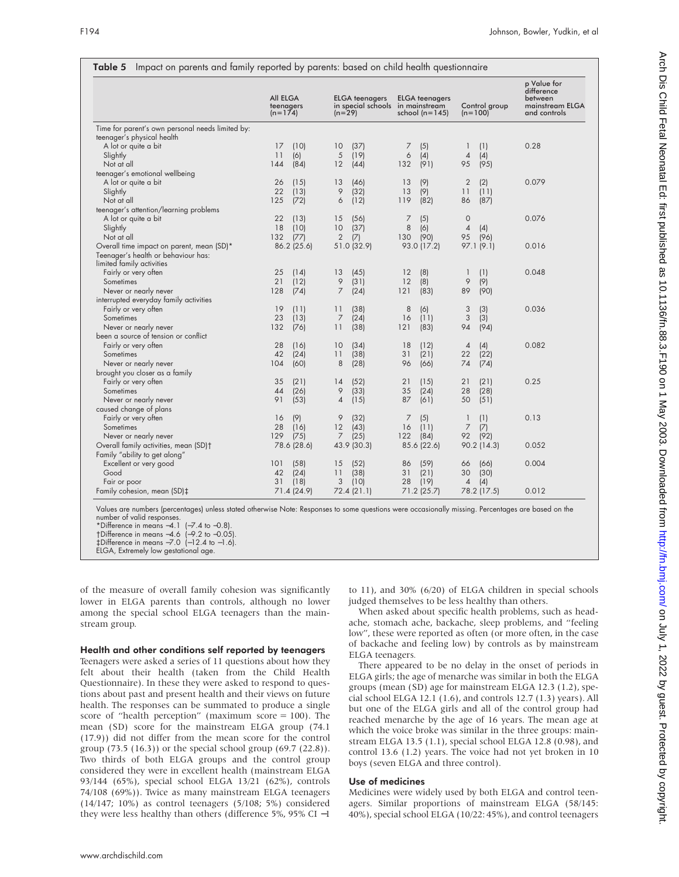|                                                                  | All ELGA<br>teenagers<br>$(n=174)$ | <b>ELGA</b> teenagers<br>in special schools in mainstream<br>$(n=29)$ | <b>ELGA</b> teenagers<br>school $(n=145)$ | Control group<br>$(n=100)$          | p Value for<br>difference<br>between<br>mainstream ELGA<br>and controls |
|------------------------------------------------------------------|------------------------------------|-----------------------------------------------------------------------|-------------------------------------------|-------------------------------------|-------------------------------------------------------------------------|
| Time for parent's own personal needs limited by:                 |                                    |                                                                       |                                           |                                     |                                                                         |
| teenager's physical health                                       |                                    |                                                                       |                                           |                                     |                                                                         |
| A lot or quite a bit                                             | 17<br>(10)<br>11                   | (37)<br>10<br>(19)                                                    | (5)<br>7                                  | (1)<br>1                            | 0.28                                                                    |
| Slightly<br>Not at all                                           | (6)<br>(84)<br>144                 | 5<br>12<br>(44)                                                       | 6<br>(4)<br>(91)<br>132                   | $\overline{4}$<br>(4)<br>(95)<br>95 |                                                                         |
| teenager's emotional wellbeing                                   |                                    |                                                                       |                                           |                                     |                                                                         |
| A lot or quite a bit                                             | 26<br>(15)                         | (46)<br>13                                                            | (9)<br>13                                 | $\overline{2}$<br>(2)               | 0.079                                                                   |
|                                                                  | 22<br>(13)                         | 9                                                                     | (9)<br>13                                 | 11<br>(11)                          |                                                                         |
| Slightly<br>Not at all                                           | 125<br>(72)                        | (32)<br>6                                                             | 119<br>(82)                               | (87)<br>86                          |                                                                         |
|                                                                  |                                    | (12)                                                                  |                                           |                                     |                                                                         |
| teenager's attention/learning problems<br>A lot or quite a bit   | 22<br>(13)                         | 15<br>(56)                                                            | 7                                         | $\circ$                             | 0.076                                                                   |
| Slightly                                                         | 18<br>(10)                         | (37)<br>10                                                            | (5)<br>8<br>(6)                           | $\overline{4}$<br>(4)               |                                                                         |
| Not at all                                                       | 132<br>(77)                        | 2<br>(7)                                                              | (90)<br>130                               | 95<br>(96)                          |                                                                         |
| Overall time impact on parent, mean (SD)*                        | 86.2 (25.6)                        | 51.0 (32.9)                                                           | 93.0 (17.2)                               | 97.1(9.1)                           | 0.016                                                                   |
| Teenager's health or behaviour has:<br>limited family activities |                                    |                                                                       |                                           |                                     |                                                                         |
| Fairly or very often                                             | 25<br>(14)                         | (45)<br>13                                                            | (8)<br>12                                 | (1)<br>1                            | 0.048                                                                   |
| Sometimes                                                        | 21<br>(12)                         | 9<br>(31)                                                             | 12<br>(8)                                 | 9<br>(9)                            |                                                                         |
| Never or nearly never                                            | 128<br>(74)                        | $\overline{7}$<br>(24)                                                | 121<br>(83)                               | 89<br>(90)                          |                                                                         |
| interrupted everyday family activities                           |                                    |                                                                       |                                           |                                     |                                                                         |
| Fairly or very often                                             | 19<br>(11)                         | $\overline{11}$<br>(38)                                               | 8<br>(6)                                  | 3<br>(3)                            | 0.036                                                                   |
| Sometimes                                                        | 23<br>(13)                         | 7<br>(24)                                                             | 16<br>(11)                                | 3<br>(3)                            |                                                                         |
| Never or nearly never                                            | (76)<br>132                        | (38)<br>11                                                            | 121<br>(83)                               | 94<br>(94)                          |                                                                         |
| been a source of tension or conflict                             |                                    |                                                                       |                                           |                                     |                                                                         |
| Fairly or very often                                             | 28<br>(16)                         | 10<br>(34)                                                            | 18<br>(12)                                | (4)<br>4                            | 0.082                                                                   |
| Sometimes                                                        | 42<br>(24)                         | 11<br>(38)                                                            | 31<br>(21)                                | (22)<br>22                          |                                                                         |
| Never or nearly never                                            | (60)<br>104                        | 8<br>(28)                                                             | (66)<br>96                                | (74)<br>74                          |                                                                         |
| brought you closer as a family                                   |                                    |                                                                       |                                           |                                     |                                                                         |
| Fairly or very often                                             | 35<br>(21)                         | (52)<br>14                                                            | 21<br>(15)                                | (21)<br>21                          | 0.25                                                                    |
| Sometimes                                                        | 44<br>(26)                         | 9<br>(33)                                                             | 35<br>(24)                                | (28)<br>28                          |                                                                         |
| Never or nearly never                                            | 91<br>(53)                         | $\overline{A}$<br>(15)                                                | 87<br>(61)                                | 50<br>(51)                          |                                                                         |
| caused change of plans                                           |                                    |                                                                       |                                           |                                     |                                                                         |
| Fairly or very often                                             | (9)<br>16                          | 9<br>(32)                                                             | (5)<br>7                                  | 1<br>(1)                            | 0.13                                                                    |
| Sometimes                                                        | 28<br>(16)                         | 12<br>(43)                                                            | (11)<br>16                                | 7<br>(7)                            |                                                                         |
| Never or nearly never                                            | (75)<br>129                        | $\overline{7}$<br>(25)                                                | 122<br>(84)                               | (92)<br>92                          |                                                                         |
| Overall family activities, mean (SD)+                            | 78.6 (28.6)                        | 43.9 (30.3)                                                           | 85.6 (22.6)                               | 90.2 (14.3)                         | 0.052                                                                   |
| Family "ability to get along"                                    |                                    |                                                                       |                                           |                                     |                                                                         |
| Excellent or very good                                           | (58)<br>101                        | (52)<br>15                                                            | (59)<br>86                                | (66)<br>66                          | 0.004                                                                   |
| Good                                                             | 42<br>(24)                         | 11<br>(38)                                                            | (21)<br>31                                | (30)<br>30                          |                                                                         |
| Fair or poor                                                     | 31<br>(18)                         | 3<br>(10)                                                             | 28<br>(19)                                | $\overline{4}$<br>(4)               |                                                                         |
| Family cohesion, mean (SD)‡                                      | 71.4 (24.9)                        | 72.4(21.1)                                                            | 71.2 (25.7)                               | 78.2 (17.5)                         | 0.012                                                                   |

# Table 5 Impact on parents and family reported by parents: based on child health questionnaire

Values are numbers (percentages) unless stated otherwise Note: Responses to some questions were occasionally missing. Percentages are based on the number of valid responses.

of the measure of overall family cohesion was significantly lower in ELGA parents than controls, although no lower among the special school ELGA teenagers than the mainstream group.

# Health and other conditions self reported by teenagers

Teenagers were asked a series of 11 questions about how they felt about their health (taken from the Child Health Questionnaire). In these they were asked to respond to questions about past and present health and their views on future health. The responses can be summated to produce a single score of "health perception" (maximum score = 100). The mean (SD) score for the mainstream ELGA group (74.1 (17.9)) did not differ from the mean score for the control group (73.5 (16.3)) or the special school group (69.7 (22.8)). Two thirds of both ELGA groups and the control group considered they were in excellent health (mainstream ELGA 93/144 (65%), special school ELGA 13/21 (62%), controls 74/108 (69%)). Twice as many mainstream ELGA teenagers (14/147; 10%) as control teenagers (5/108; 5%) considered they were less healthy than others (difference 5%, 95% CI −1

to 11), and 30% (6/20) of ELGA children in special schools judged themselves to be less healthy than others.

When asked about specific health problems, such as headache, stomach ache, backache, sleep problems, and "feeling low", these were reported as often (or more often, in the case of backache and feeling low) by controls as by mainstream ELGA teenagers*.*

There appeared to be no delay in the onset of periods in ELGA girls; the age of menarche was similar in both the ELGA groups (mean (SD) age for mainstream ELGA 12.3 (1.2), special school ELGA 12.1 (1.6), and controls 12.7 (1.3) years). All but one of the ELGA girls and all of the control group had reached menarche by the age of 16 years. The mean age at which the voice broke was similar in the three groups: mainstream ELGA 13.5 (1.1), special school ELGA 12.8 (0.98), and control 13.6 (1.2) years. The voice had not yet broken in 10 boys (seven ELGA and three control).

# Use of medicines

Medicines were widely used by both ELGA and control teenagers. Similar proportions of mainstream ELGA (58/145: 40%), special school ELGA (10/22: 45%), and control teenagers

<sup>\*</sup>Difference in means −4.1 (−7.4 to −0.8).

<sup>†</sup>Difference in means −4.6 (−9.2 to −0.05). ‡Difference in means −7.0 (−12.4 to −1.6).

ELGA, Extremely low gestational age.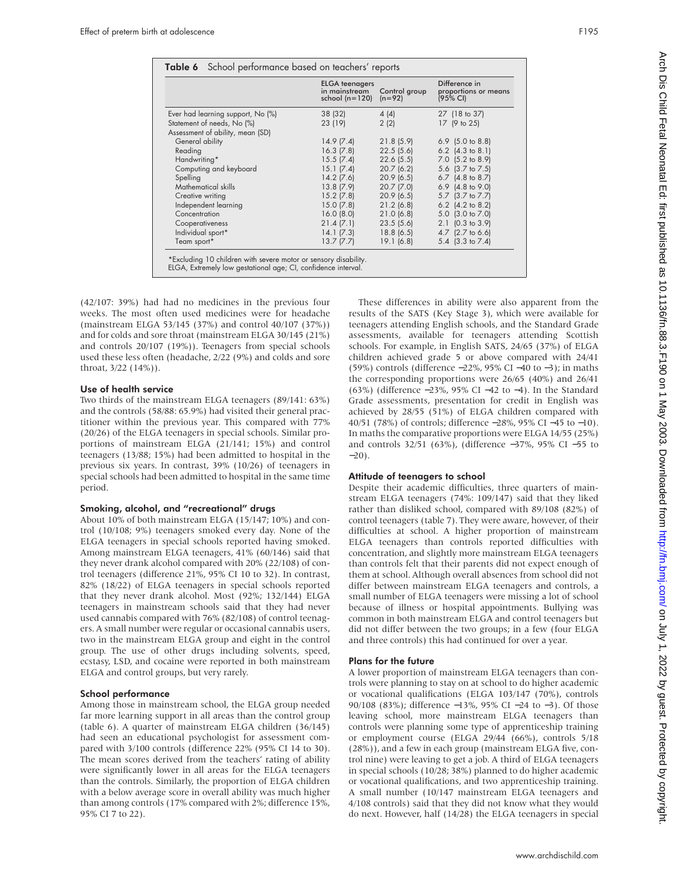|                                   | <b>ELGA</b> teenagers<br>in mainstream<br>school $(n=120)$ | Control group<br>$(n=92)$ | Difference in<br>proportions or means<br>(95% CI) |
|-----------------------------------|------------------------------------------------------------|---------------------------|---------------------------------------------------|
| Ever had learning support, No (%) | 38 (32)                                                    | 4(4)                      | 27 (18 to 37)                                     |
| Statement of needs, No (%)        | 23 (19)                                                    | 2(2)                      | 17 (9 to 25)                                      |
| Assessment of ability, mean (SD)  |                                                            |                           |                                                   |
| General ability                   | 14.9(7.4)                                                  | 21.8(5.9)                 | $6.9$ (5.0 to 8.8)                                |
| Reading                           | $16.3$ $(7.8)$                                             | 22.5(5.6)                 | 6.2 $(4.3 \text{ to } 8.1)$                       |
| Handwriting*                      | 15.5(7.4)                                                  | 22.6(5.5)                 | 7.0 (5.2 to 8.9)                                  |
| Computing and keyboard            | 15.1 (7.4)                                                 | 20.7(6.2)                 | 5.6 (3.7 to 7.5)                                  |
| Spelling                          | $14.2$ (7.6)                                               | 20.9(6.5)                 | 6.7 $(4.8 \text{ to } 8.7)$                       |
| Mathematical skills               | 13.8(7.9)                                                  | $20.7$ (7.0)              | 6.9 $(4.8 \text{ to } 9.0)$                       |
| Creative writing                  | $15.2$ (7.8)                                               | 20.9(6.5)                 | 5.7 (3.7 to 7.7)                                  |
| Independent learning              | 15.0(7.8)                                                  | 21.2(6.8)                 | 6.2 $(4.2 \text{ to } 8.2)$                       |
| Concentration                     | 16.0(8.0)                                                  | 21.0(6.8)                 | 5.0 (3.0 to 7.0)                                  |
| Cooperativeness                   | 21.4(7.1)                                                  | 23.5(5.6)                 | $2.1$ (0.3 to 3.9)                                |
| Individual sport*                 | 14.1(7.3)                                                  | 18.8(6.5)                 | 4.7 (2.7 to 6.6)                                  |
| Team sport*                       | 13.7(7.7)                                                  | 19.1(6.8)                 | 5.4 (3.3 to 7.4)                                  |

ELGA, Extremely low gestational age; CI, confidence interval.

(42/107: 39%) had had no medicines in the previous four weeks. The most often used medicines were for headache (mainstream ELGA 53/145 (37%) and control 40/107 (37%)) and for colds and sore throat (mainstream ELGA 30/145 (21%) and controls 20/107 (19%)). Teenagers from special schools used these less often (headache, 2/22 (9%) and colds and sore throat, 3/22 (14%)).

#### Use of health service

Two thirds of the mainstream ELGA teenagers (89/141: 63%) and the controls (58/88: 65.9%) had visited their general practitioner within the previous year. This compared with 77% (20/26) of the ELGA teenagers in special schools. Similar proportions of mainstream ELGA (21/141; 15%) and control teenagers (13/88; 15%) had been admitted to hospital in the previous six years. In contrast, 39% (10/26) of teenagers in special schools had been admitted to hospital in the same time period.

## Smoking, alcohol, and "recreational" drugs

About 10% of both mainstream ELGA (15/147; 10%) and control (10/108; 9%) teenagers smoked every day. None of the ELGA teenagers in special schools reported having smoked. Among mainstream ELGA teenagers, 41% (60/146) said that they never drank alcohol compared with 20% (22/108) of control teenagers (difference 21%, 95% CI 10 to 32). In contrast, 82% (18/22) of ELGA teenagers in special schools reported that they never drank alcohol. Most (92%; 132/144) ELGA teenagers in mainstream schools said that they had never used cannabis compared with 76% (82/108) of control teenagers. A small number were regular or occasional cannabis users, two in the mainstream ELGA group and eight in the control group. The use of other drugs including solvents, speed, ecstasy, LSD, and cocaine were reported in both mainstream ELGA and control groups, but very rarely.

#### School performance

Among those in mainstream school, the ELGA group needed far more learning support in all areas than the control group (table 6). A quarter of mainstream ELGA children (36/145) had seen an educational psychologist for assessment compared with 3/100 controls (difference 22% (95% CI 14 to 30). The mean scores derived from the teachers' rating of ability were significantly lower in all areas for the ELGA teenagers than the controls. Similarly, the proportion of ELGA children with a below average score in overall ability was much higher than among controls (17% compared with 2%; difference 15%, 95% CI 7 to 22).

These differences in ability were also apparent from the results of the SATS (Key Stage 3), which were available for teenagers attending English schools, and the Standard Grade assessments, available for teenagers attending Scottish schools. For example, in English SATS, 24/65 (37%) of ELGA children achieved grade 5 or above compared with 24/41 (59%) controls (difference −22%, 95% CI −40 to −3); in maths the corresponding proportions were 26/65 (40%) and 26/41 (63%) (difference −23%, 95% CI −42 to −4). In the Standard Grade assessments, presentation for credit in English was achieved by 28/55 (51%) of ELGA children compared with 40/51 (78%) of controls; difference −28%, 95% CI −45 to −10). In maths the comparative proportions were ELGA 14/55 (25%) and controls 32/51 (63%), (difference −37%, 95% CI −55 to  $-20$ ).

#### Attitude of teenagers to school

Despite their academic difficulties, three quarters of mainstream ELGA teenagers (74%: 109/147) said that they liked rather than disliked school, compared with 89/108 (82%) of control teenagers (table 7). They were aware, however, of their difficulties at school. A higher proportion of mainstream ELGA teenagers than controls reported difficulties with concentration, and slightly more mainstream ELGA teenagers than controls felt that their parents did not expect enough of them at school. Although overall absences from school did not differ between mainstream ELGA teenagers and controls, a small number of ELGA teenagers were missing a lot of school because of illness or hospital appointments. Bullying was common in both mainstream ELGA and control teenagers but did not differ between the two groups; in a few (four ELGA and three controls) this had continued for over a year.

#### Plans for the future

A lower proportion of mainstream ELGA teenagers than controls were planning to stay on at school to do higher academic or vocational qualifications (ELGA 103/147 (70%), controls 90/108 (83%); difference −13%, 95% CI −24 to −3). Of those leaving school, more mainstream ELGA teenagers than controls were planning some type of apprenticeship training or employment course (ELGA 29/44 (66%), controls 5/18 (28%)), and a few in each group (mainstream ELGA five, control nine) were leaving to get a job. A third of ELGA teenagers in special schools (10/28; 38%) planned to do higher academic or vocational qualifications, and two apprenticeship training. A small number (10/147 mainstream ELGA teenagers and 4/108 controls) said that they did not know what they would do next. However, half (14/28) the ELGA teenagers in special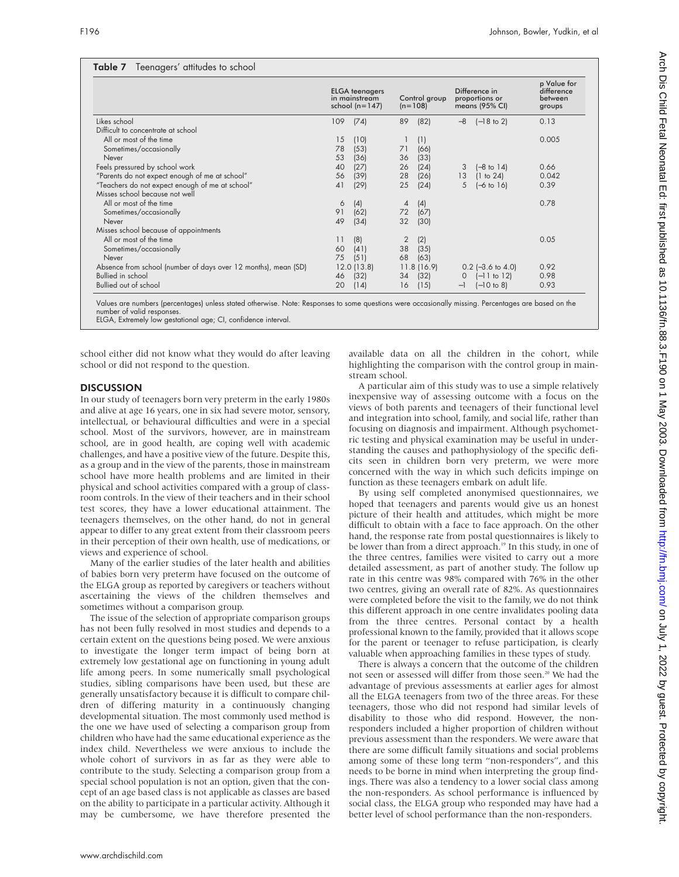# Table 7 Teenagers' attitudes to school

|                                                                | <b>ELGA</b> teenagers<br>in mainstream<br>school $(n=147)$ |               | Control group<br>$(n=108)$ |            | Difference in<br>proportions or<br>means (95% CI) |                       | p Value for<br>difference<br>between<br>groups |  |
|----------------------------------------------------------------|------------------------------------------------------------|---------------|----------------------------|------------|---------------------------------------------------|-----------------------|------------------------------------------------|--|
| Likes school                                                   | 109                                                        | (74)          | 89                         | (82)       | $-8$                                              | $(-18 \text{ to } 2)$ | 0.13                                           |  |
| Difficult to concentrate at school                             |                                                            |               |                            |            |                                                   |                       |                                                |  |
| All or most of the time                                        | 15                                                         | (10)          |                            | (1)        |                                                   |                       | 0.005                                          |  |
| Sometimes/occasionally                                         | 78                                                         | (53)          | 71                         | (66)       |                                                   |                       |                                                |  |
| Never                                                          | 53                                                         | (36)          | 36                         | (33)       |                                                   |                       |                                                |  |
| Feels pressured by school work                                 | 40                                                         | (27)          | 26                         | (24)       | 3                                                 | $[-8 \text{ to } 14]$ | 0.66                                           |  |
| "Parents do not expect enough of me at school"                 | 56                                                         | (39)          | 28                         | (26)       | 13                                                | (1 to 24)             | 0.042                                          |  |
| "Teachers do not expect enough of me at school"                | 41                                                         | (29)          | 25                         | (24)       | 5                                                 | $[-6 \text{ to } 16]$ | 0.39                                           |  |
| Misses school because not well                                 |                                                            |               |                            |            |                                                   |                       |                                                |  |
| All or most of the time                                        | 6                                                          | (4)           | $\overline{4}$             | (4)        |                                                   |                       | 0.78                                           |  |
| Sometimes/occasionally                                         | 91                                                         | (62)          | 72                         | (67)       |                                                   |                       |                                                |  |
| Never                                                          | 49                                                         | (34)          | 32                         | (30)       |                                                   |                       |                                                |  |
| Misses school because of appointments                          |                                                            |               |                            |            |                                                   |                       |                                                |  |
| All or most of the time                                        | 11                                                         | (8)           | 2                          | (2)        |                                                   |                       | 0.05                                           |  |
| Sometimes/occasionally                                         | 60                                                         | (41)          | 38                         | (35)       |                                                   |                       |                                                |  |
| Never                                                          | 75                                                         | (51)          | 68                         | (63)       |                                                   |                       |                                                |  |
| Absence from school (number of days over 12 months), mean (SD) |                                                            | $12.0$ (13.8) |                            | 11.8(16.9) |                                                   | $0.2$ (-3.6 to 4.0)   | 0.92                                           |  |
| Bullied in school                                              | 46                                                         | (32)          | 34                         | (32)       | 0                                                 | $[-11$ to 12)         | 0.98                                           |  |
| Bullied out of school                                          | 20                                                         | (14)          | 16                         | (15)       | $-1$                                              | $(-10 to 8)$          | 0.93                                           |  |

Values are numbers (percentages) unless stated otherwise. Note: Responses to some questions were occasionally missing. Percentages are based on the number of valid responses.

ELGA, Extremely low gestational age; CI, confidence interval.

school either did not know what they would do after leaving school or did not respond to the question.

## **DISCUSSION**

In our study of teenagers born very preterm in the early 1980s and alive at age 16 years, one in six had severe motor, sensory, intellectual, or behavioural difficulties and were in a special school. Most of the survivors, however, are in mainstream school, are in good health, are coping well with academic challenges, and have a positive view of the future. Despite this, as a group and in the view of the parents, those in mainstream school have more health problems and are limited in their physical and school activities compared with a group of classroom controls. In the view of their teachers and in their school test scores, they have a lower educational attainment. The teenagers themselves, on the other hand, do not in general appear to differ to any great extent from their classroom peers in their perception of their own health, use of medications, or views and experience of school.

Many of the earlier studies of the later health and abilities of babies born very preterm have focused on the outcome of the ELGA group as reported by caregivers or teachers without ascertaining the views of the children themselves and sometimes without a comparison group.

The issue of the selection of appropriate comparison groups has not been fully resolved in most studies and depends to a certain extent on the questions being posed. We were anxious to investigate the longer term impact of being born at extremely low gestational age on functioning in young adult life among peers. In some numerically small psychological studies, sibling comparisons have been used, but these are generally unsatisfactory because it is difficult to compare children of differing maturity in a continuously changing developmental situation. The most commonly used method is the one we have used of selecting a comparison group from children who have had the same educational experience as the index child. Nevertheless we were anxious to include the whole cohort of survivors in as far as they were able to contribute to the study. Selecting a comparison group from a special school population is not an option, given that the concept of an age based class is not applicable as classes are based on the ability to participate in a particular activity. Although it may be cumbersome, we have therefore presented the

available data on all the children in the cohort, while highlighting the comparison with the control group in mainstream school.

A particular aim of this study was to use a simple relatively inexpensive way of assessing outcome with a focus on the views of both parents and teenagers of their functional level and integration into school, family, and social life, rather than focusing on diagnosis and impairment. Although psychometric testing and physical examination may be useful in understanding the causes and pathophysiology of the specific deficits seen in children born very preterm, we were more concerned with the way in which such deficits impinge on function as these teenagers embark on adult life.

By using self completed anonymised questionnaires, we hoped that teenagers and parents would give us an honest picture of their health and attitudes, which might be more difficult to obtain with a face to face approach. On the other hand, the response rate from postal questionnaires is likely to be lower than from a direct approach.<sup>19</sup> In this study, in one of the three centres, families were visited to carry out a more detailed assessment, as part of another study. The follow up rate in this centre was 98% compared with 76% in the other two centres, giving an overall rate of 82%. As questionnaires were completed before the visit to the family, we do not think this different approach in one centre invalidates pooling data from the three centres. Personal contact by a health professional known to the family, provided that it allows scope for the parent or teenager to refuse participation, is clearly valuable when approaching families in these types of study.

There is always a concern that the outcome of the children not seen or assessed will differ from those seen.<sup>20</sup> We had the advantage of previous assessments at earlier ages for almost all the ELGA teenagers from two of the three areas. For these teenagers, those who did not respond had similar levels of disability to those who did respond. However, the nonresponders included a higher proportion of children without previous assessment than the responders. We were aware that there are some difficult family situations and social problems among some of these long term "non-responders", and this needs to be borne in mind when interpreting the group findings. There was also a tendency to a lower social class among the non-responders. As school performance is influenced by social class, the ELGA group who responded may have had a better level of school performance than the non-responders.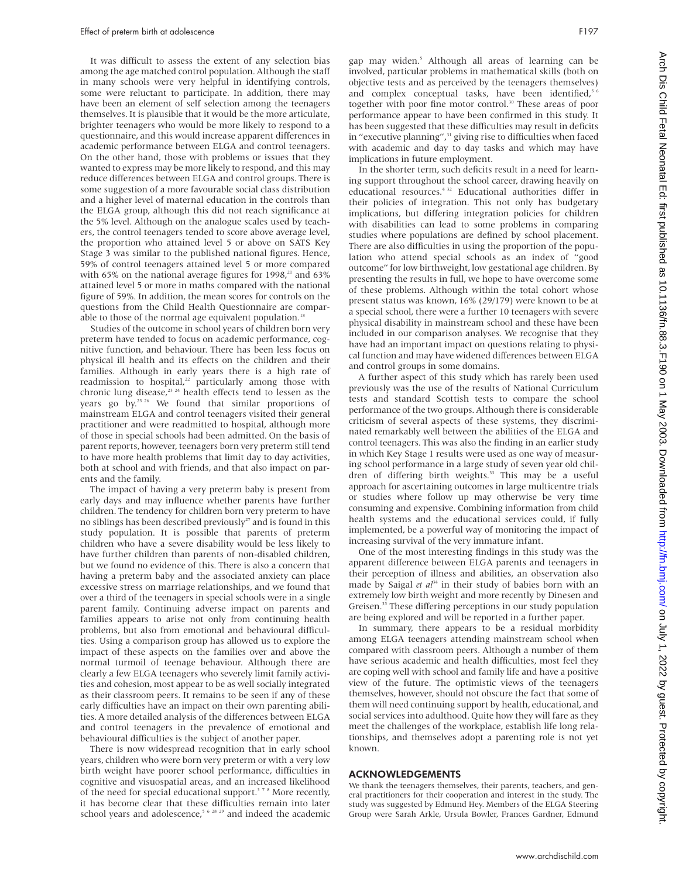It was difficult to assess the extent of any selection bias among the age matched control population. Although the staff in many schools were very helpful in identifying controls, some were reluctant to participate. In addition, there may have been an element of self selection among the teenagers themselves. It is plausible that it would be the more articulate, brighter teenagers who would be more likely to respond to a questionnaire, and this would increase apparent differences in academic performance between ELGA and control teenagers. On the other hand, those with problems or issues that they wanted to express may be more likely to respond, and this may reduce differences between ELGA and control groups. There is some suggestion of a more favourable social class distribution and a higher level of maternal education in the controls than the ELGA group, although this did not reach significance at the 5% level. Although on the analogue scales used by teachers, the control teenagers tended to score above average level, the proportion who attained level 5 or above on SATS Key Stage 3 was similar to the published national figures. Hence, 59% of control teenagers attained level 5 or more compared with 65% on the national average figures for  $1998$ ,<sup>21</sup> and 63% attained level 5 or more in maths compared with the national figure of 59%. In addition, the mean scores for controls on the questions from the Child Health Questionnaire are comparable to those of the normal age equivalent population.<sup>18</sup>

Studies of the outcome in school years of children born very preterm have tended to focus on academic performance, cognitive function, and behaviour. There has been less focus on physical ill health and its effects on the children and their families. Although in early years there is a high rate of readmission to hospital,<sup>22</sup> particularly among those with chronic lung disease,<sup>23 24</sup> health effects tend to lessen as the years go by.<sup>25 26</sup> We found that similar proportions of mainstream ELGA and control teenagers visited their general practitioner and were readmitted to hospital, although more of those in special schools had been admitted. On the basis of parent reports, however, teenagers born very preterm still tend to have more health problems that limit day to day activities, both at school and with friends, and that also impact on parents and the family.

The impact of having a very preterm baby is present from early days and may influence whether parents have further children. The tendency for children born very preterm to have no siblings has been described previously<sup>27</sup> and is found in this study population. It is possible that parents of preterm children who have a severe disability would be less likely to have further children than parents of non-disabled children, but we found no evidence of this. There is also a concern that having a preterm baby and the associated anxiety can place excessive stress on marriage relationships, and we found that over a third of the teenagers in special schools were in a single parent family. Continuing adverse impact on parents and families appears to arise not only from continuing health problems, but also from emotional and behavioural difficulties*.* Using a comparison group has allowed us to explore the impact of these aspects on the families over and above the normal turmoil of teenage behaviour. Although there are clearly a few ELGA teenagers who severely limit family activities and cohesion, most appear to be as well socially integrated as their classroom peers. It remains to be seen if any of these early difficulties have an impact on their own parenting abilities. A more detailed analysis of the differences between ELGA and control teenagers in the prevalence of emotional and behavioural difficulties is the subject of another paper.

There is now widespread recognition that in early school years, children who were born very preterm or with a very low birth weight have poorer school performance, difficulties in cognitive and visuospatial areas, and an increased likelihood of the need for special educational support.<sup>378</sup> More recently, it has become clear that these difficulties remain into later school years and adolescence,<sup>5 6 28 29</sup> and indeed the academic

gap may widen.<sup>5</sup> Although all areas of learning can be involved, particular problems in mathematical skills (both on objective tests and as perceived by the teenagers themselves) and complex conceptual tasks, have been identified,<sup>5</sup> together with poor fine motor control.30 These areas of poor performance appear to have been confirmed in this study. It has been suggested that these difficulties may result in deficits in "executive planning", $31$  giving rise to difficulties when faced with academic and day to day tasks and which may have implications in future employment.

In the shorter term, such deficits result in a need for learning support throughout the school career, drawing heavily on educational resources.<sup>4 32</sup> Educational authorities differ in their policies of integration. This not only has budgetary implications, but differing integration policies for children with disabilities can lead to some problems in comparing studies where populations are defined by school placement. There are also difficulties in using the proportion of the population who attend special schools as an index of "good outcome" for low birthweight, low gestational age children. By presenting the results in full, we hope to have overcome some of these problems. Although within the total cohort whose present status was known, 16% (29/179) were known to be at a special school, there were a further 10 teenagers with severe physical disability in mainstream school and these have been included in our comparison analyses. We recognise that they have had an important impact on questions relating to physical function and may have widened differences between ELGA and control groups in some domains.

A further aspect of this study which has rarely been used previously was the use of the results of National Curriculum tests and standard Scottish tests to compare the school performance of the two groups. Although there is considerable criticism of several aspects of these systems, they discriminated remarkably well between the abilities of the ELGA and control teenagers. This was also the finding in an earlier study in which Key Stage 1 results were used as one way of measuring school performance in a large study of seven year old children of differing birth weights.<sup>33</sup> This may be a useful approach for ascertaining outcomes in large multicentre trials or studies where follow up may otherwise be very time consuming and expensive. Combining information from child health systems and the educational services could, if fully implemented, be a powerful way of monitoring the impact of increasing survival of the very immature infant.

One of the most interesting findings in this study was the apparent difference between ELGA parents and teenagers in their perception of illness and abilities, an observation also made by Saigal *et al*<sup>34</sup> in their study of babies born with an extremely low birth weight and more recently by Dinesen and Greisen.<sup>35</sup> These differing perceptions in our study population are being explored and will be reported in a further paper.

In summary, there appears to be a residual morbidity among ELGA teenagers attending mainstream school when compared with classroom peers. Although a number of them have serious academic and health difficulties, most feel they are coping well with school and family life and have a positive view of the future. The optimistic views of the teenagers themselves, however, should not obscure the fact that some of them will need continuing support by health, educational, and social services into adulthood. Quite how they will fare as they meet the challenges of the workplace, establish life long relationships, and themselves adopt a parenting role is not yet known.

## ACKNOWLEDGEMENTS

We thank the teenagers themselves, their parents, teachers, and general practitioners for their cooperation and interest in the study. The study was suggested by Edmund Hey. Members of the ELGA Steering Group were Sarah Arkle, Ursula Bowler, Frances Gardner, Edmund